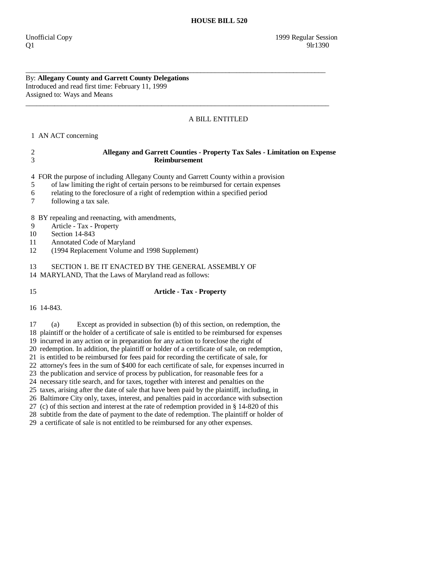## By: **Allegany County and Garrett County Delegations**  Introduced and read first time: February 11, 1999 Assigned to: Ways and Means

## A BILL ENTITLED

1 AN ACT concerning

| $\overline{c}$ | Allegany and Garrett Counties - Property Tax Sales - Limitation on Expense                                     |
|----------------|----------------------------------------------------------------------------------------------------------------|
| 3              | <b>Reimbursement</b>                                                                                           |
| 4              | FOR the purpose of including Allegany County and Garrett County within a provision                             |
| 5              | of law limiting the right of certain persons to be reimbursed for certain expenses                             |
| 6              | relating to the foreclosure of a right of redemption within a specified period                                 |
| 7              | following a tax sale.                                                                                          |
| 8              | BY repealing and reenacting, with amendments,                                                                  |
| 9              | Article - Tax - Property                                                                                       |
| 10             | Section 14-843                                                                                                 |
| 11             | Annotated Code of Maryland                                                                                     |
| 12             | (1994 Replacement Volume and 1998 Supplement)                                                                  |
| 13             | SECTION 1. BE IT ENACTED BY THE GENERAL ASSEMBLY OF<br>14 MARYLAND, That the Laws of Maryland read as follows: |
| 15             | <b>Article - Tax - Property</b>                                                                                |
|                | 16 14-843.                                                                                                     |

\_\_\_\_\_\_\_\_\_\_\_\_\_\_\_\_\_\_\_\_\_\_\_\_\_\_\_\_\_\_\_\_\_\_\_\_\_\_\_\_\_\_\_\_\_\_\_\_\_\_\_\_\_\_\_\_\_\_\_\_\_\_\_\_\_\_\_\_\_\_\_\_\_\_\_\_\_\_\_\_\_\_\_\_

 $\overline{\phantom{a}}$  ,  $\overline{\phantom{a}}$  ,  $\overline{\phantom{a}}$  ,  $\overline{\phantom{a}}$  ,  $\overline{\phantom{a}}$  ,  $\overline{\phantom{a}}$  ,  $\overline{\phantom{a}}$  ,  $\overline{\phantom{a}}$  ,  $\overline{\phantom{a}}$  ,  $\overline{\phantom{a}}$  ,  $\overline{\phantom{a}}$  ,  $\overline{\phantom{a}}$  ,  $\overline{\phantom{a}}$  ,  $\overline{\phantom{a}}$  ,  $\overline{\phantom{a}}$  ,  $\overline{\phantom{a}}$ 

 17 (a) Except as provided in subsection (b) of this section, on redemption, the 18 plaintiff or the holder of a certificate of sale is entitled to be reimbursed for expenses 19 incurred in any action or in preparation for any action to foreclose the right of 20 redemption. In addition, the plaintiff or holder of a certificate of sale, on redemption, 21 is entitled to be reimbursed for fees paid for recording the certificate of sale, for 22 attorney's fees in the sum of \$400 for each certificate of sale, for expenses incurred in 23 the publication and service of process by publication, for reasonable fees for a 24 necessary title search, and for taxes, together with interest and penalties on the 25 taxes, arising after the date of sale that have been paid by the plaintiff, including, in 26 Baltimore City only, taxes, interest, and penalties paid in accordance with subsection 27 (c) of this section and interest at the rate of redemption provided in § 14-820 of this 28 subtitle from the date of payment to the date of redemption. The plaintiff or holder of

29 a certificate of sale is not entitled to be reimbursed for any other expenses.